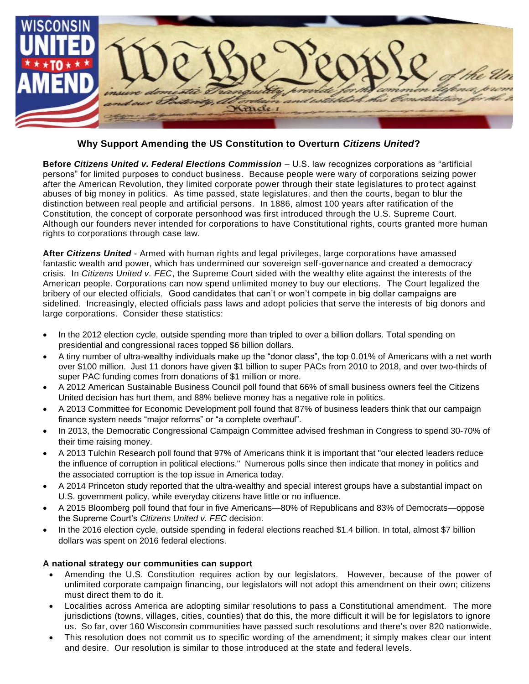

**Why Support Amending the US Constitution to Overturn** *Citizens United***?**

**Before** *Citizens United v. Federal Elections Commission* – U.S. law recognizes corporations as "artificial persons" for limited purposes to conduct business. Because people were wary of corporations seizing power after the American Revolution, they limited corporate power through their state legislatures to pro tect against abuses of big money in politics. As time passed, state legislatures, and then the courts, began to blur the distinction between real people and artificial persons. In 1886, almost 100 years after ratification of the Constitution, the concept of corporate personhood was first introduced through the U.S. Supreme Court. Although our founders never intended for corporations to have Constitutional rights, courts granted more human rights to corporations through case law.

**After** *Citizens United* - Armed with human rights and legal privileges, large corporations have amassed fantastic wealth and power, which has undermined our sovereign self-governance and created a democracy crisis. In *Citizens United v. FEC*, the Supreme Court sided with the wealthy elite against the interests of the American people. Corporations can now spend unlimited money to buy our elections. The Court legalized the bribery of our elected officials. Good candidates that can't or won't compete in big dollar campaigns are sidelined. Increasingly, elected officials pass laws and adopt policies that serve the interests of big donors and large corporations. Consider these statistics:

- In the 2012 election cycle, outside spending more than tripled to over a billion dollars. Total spending on presidential and congressional races topped \$6 billion dollars.
- A tiny number of ultra-wealthy individuals make up the "donor class", the top 0.01% of Americans with a net worth over \$100 million. Just 11 donors have given \$1 billion to super PACs from 2010 to 2018, and over two-thirds of super PAC funding comes from donations of \$1 million or more.
- A 2012 American Sustainable Business Council poll found that 66% of small business owners feel the Citizens United decision has hurt them, and 88% believe money has a negative role in politics.
- A 2013 Committee for Economic Development poll found that 87% of business leaders think that our campaign finance system needs "major reforms" or "a complete overhaul".
- In 2013, the Democratic Congressional Campaign Committee advised freshman in Congress to spend 30-70% of their time raising money.
- A 2013 Tulchin Research poll found that 97% of Americans think it is important that "our elected leaders reduce the influence of corruption in political elections." Numerous polls since then indicate that money in politics and the associated corruption is the top issue in America today.
- A 2014 Princeton study reported that the ultra-wealthy and special interest groups have a substantial impact on U.S. government policy, while everyday citizens have little or no influence.
- A 2015 Bloomberg poll found that four in five Americans—80% of Republicans and 83% of Democrats—oppose the Supreme Court's *Citizens United v. FEC* decision.
- In the 2016 election cycle, outside spending in federal elections reached \$1.4 billion. In total, almost \$7 billion dollars was spent on 2016 federal elections.

## **A national strategy our communities can support**

- Amending the U.S. Constitution requires action by our legislators. However, because of the power of unlimited corporate campaign financing, our legislators will not adopt this amendment on their own; citizens must direct them to do it.
- Localities across America are adopting similar resolutions to pass a Constitutional amendment. The more jurisdictions (towns, villages, cities, counties) that do this, the more difficult it will be for legislators to ignore us. So far, over 160 Wisconsin communities have passed such resolutions and there's over 820 nationwide.
- This resolution does not commit us to specific wording of the amendment; it simply makes clear our intent and desire. Our resolution is similar to those introduced at the state and federal levels.